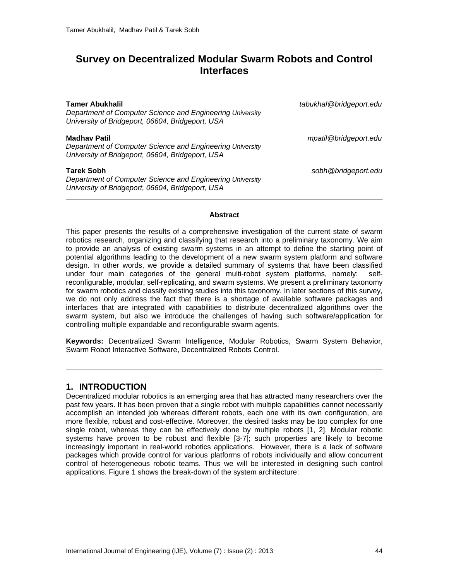# **Survey on Decentralized Modular Swarm Robots and Control Interfaces**

| <b>Tamer Abukhalil</b><br>Department of Computer Science and Engineering University<br>University of Bridgeport, 06604, Bridgeport, USA | tabukhal@bridgeport.edu |
|-----------------------------------------------------------------------------------------------------------------------------------------|-------------------------|
| <b>Madhay Patil</b><br>Department of Computer Science and Engineering University<br>University of Bridgeport, 06604, Bridgeport, USA    | mpatil@bridgeport.edu   |
| <b>Tarek Sobh</b><br>Department of Computer Science and Engineering University<br>University of Bridgeport, 06604, Bridgeport, USA      | sobh@bridgeport.edu     |

#### **Abstract**

This paper presents the results of a comprehensive investigation of the current state of swarm robotics research, organizing and classifying that research into a preliminary taxonomy. We aim to provide an analysis of existing swarm systems in an attempt to define the starting point of potential algorithms leading to the development of a new swarm system platform and software design. In other words, we provide a detailed summary of systems that have been classified<br>under four main categories of the general multi-robot system platforms, namely: selfunder four main categories of the general multi-robot system platforms, namely: reconfigurable, modular, self-replicating, and swarm systems. We present a preliminary taxonomy for swarm robotics and classify existing studies into this taxonomy. In later sections of this survey, we do not only address the fact that there is a shortage of available software packages and interfaces that are integrated with capabilities to distribute decentralized algorithms over the swarm system, but also we introduce the challenges of having such software/application for controlling multiple expandable and reconfigurable swarm agents.

**Keywords:** Decentralized Swarm Intelligence, Modular Robotics, Swarm System Behavior, Swarm Robot Interactive Software, Decentralized Robots Control.

### **1. INTRODUCTION**

Decentralized modular robotics is an emerging area that has attracted many researchers over the past few years. It has been proven that a single robot with multiple capabilities cannot necessarily accomplish an intended job whereas different robots, each one with its own configuration, are more flexible, robust and cost-effective. Moreover, the desired tasks may be too complex for one single robot, whereas they can be effectively done by multiple robots [\[1,](#page-12-0) [2\]](#page-12-1). Modular robotic systems have proven to be robust and flexible [\[3-7\]](#page-12-2); such properties are likely to become increasingly important in real-world robotics applications. However, there is a lack of software packages which provide control for various platforms of robots individually and allow concurrent control of heterogeneous robotic teams. Thus we will be interested in designing such control applications. Figure 1 shows the break-down of the system architecture: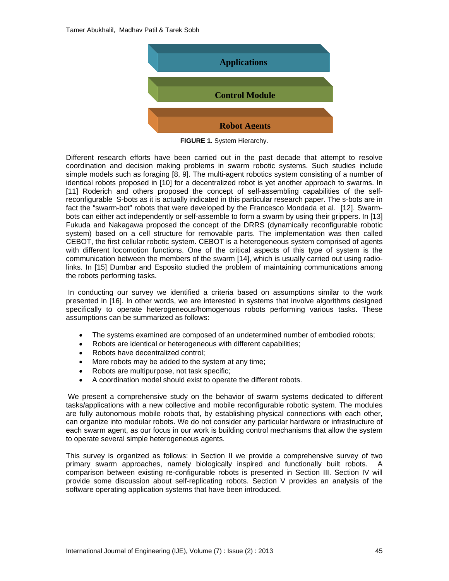

**FIGURE 1.** System Hierarchy.

Different research efforts have been carried out in the past decade that attempt to resolve coordination and decision making problems in swarm robotic systems. Such studies include simple models such as foraging [\[8,](#page-13-0) [9\]](#page-13-1). The multi-agent robotics system consisting of a number of identical robots proposed in [\[10\]](#page-13-2) for a decentralized robot is yet another approach to swarms. In [\[11\]](#page-13-3) Roderich and others proposed the concept of self-assembling capabilities of the selfreconfigurable S-bots as it is actually indicated in this particular research paper. The s-bots are in fact the "swarm-bot" robots that were developed by the Francesco Mondada et al. [\[12\]](#page-13-4). Swarmbots can either act independently or self-assemble to form a swarm by using their grippers. In [\[13\]](#page-13-5) Fukuda and Nakagawa proposed the concept of the DRRS (dynamically reconfigurable robotic system) based on a cell structure for removable parts. The implementation was then called CEBOT, the first cellular robotic system. CEBOT is a heterogeneous system comprised of agents with different locomotion functions. One of the critical aspects of this type of system is the communication between the members of the swarm [\[14\]](#page-13-6), which is usually carried out using radiolinks. In [\[15\]](#page-13-7) Dumbar and Esposito studied the problem of maintaining communications among the robots performing tasks.

In conducting our survey we identified a criteria based on assumptions similar to the work presented in [\[16\]](#page-13-8). In other words, we are interested in systems that involve algorithms designed specifically to operate heterogeneous/homogenous robots performing various tasks. These assumptions can be summarized as follows:

- The systems examined are composed of an undetermined number of embodied robots;
- Robots are identical or heterogeneous with different capabilities;
- Robots have decentralized control;
- More robots may be added to the system at any time;
- Robots are multipurpose, not task specific;
- A coordination model should exist to operate the different robots.

We present a comprehensive study on the behavior of swarm systems dedicated to different tasks/applications with a new collective and mobile reconfigurable robotic system. The modules are fully autonomous mobile robots that, by establishing physical connections with each other, can organize into modular robots. We do not consider any particular hardware or infrastructure of each swarm agent, as our focus in our work is building control mechanisms that allow the system to operate several simple heterogeneous agents.

This survey is organized as follows: in Section II we provide a comprehensive survey of two primary swarm approaches, namely biologically inspired and functionally built robots. A comparison between existing re-configurable robots is presented in Section III. Section IV will provide some discussion about self-replicating robots. Section V provides an analysis of the software operating application systems that have been introduced.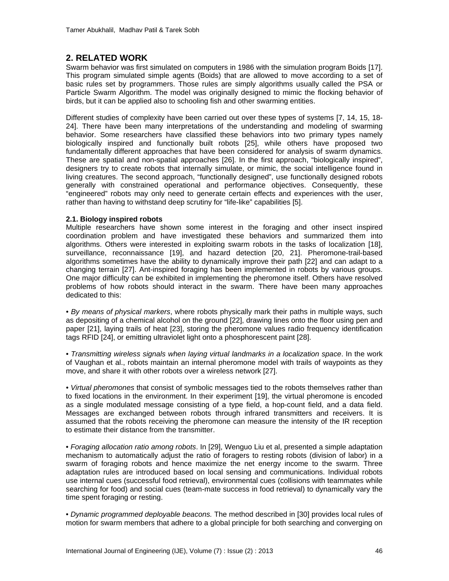## **2. RELATED WORK**

Swarm behavior was first simulated on computers in 1986 with the simulation program Boids [\[17\]](#page-13-9). This program simulated simple agents (Boids) that are allowed to move according to a set of basic rules set by programmers. Those rules are simply algorithms usually called the PSA or Particle Swarm Algorithm. The model was originally designed to mimic the flocking behavior of birds, but it can be applied also to schooling fish and other swarming entities.

Different studies of complexity have been carried out over these types of systems [\[7,](#page-13-10) [14,](#page-13-6) [15,](#page-13-7) [18-](#page-13-11) [24\]](#page-13-11). There have been many interpretations of the understanding and modeling of swarming behavior. Some researchers have classified these behaviors into two primary types namely biologically inspired and functionally built robots [\[25\]](#page-14-0), while others have proposed two fundamentally different approaches that have been considered for analysis of swarm dynamics. These are spatial and non-spatial approaches [\[26\]](#page-14-1). In the first approach, "biologically inspired", designers try to create robots that internally simulate, or mimic, the social intelligence found in living creatures. The second approach, "functionally designed", use functionally designed robots generally with constrained operational and performance objectives. Consequently, these "engineered" robots may only need to generate certain effects and experiences with the user, rather than having to withstand deep scrutiny for "life-like" capabilities [\[5\]](#page-13-12).

#### **2.1. Biology inspired robots**

Multiple researchers have shown some interest in the foraging and other insect inspired coordination problem and have investigated these behaviors and summarized them into algorithms. Others were interested in exploiting swarm robots in the tasks of localization [\[18\]](#page-13-11), surveillance, reconnaissance [\[19\]](#page-13-13), and hazard detection [\[20,](#page-13-14) [21\]](#page-14-2). Pheromone-trail-based algorithms sometimes have the ability to dynamically improve their path [\[22\]](#page-14-3) and can adapt to a changing terrain [\[27\]](#page-14-4). Ant-inspired foraging has been implemented in robots by various groups. One major difficulty can be exhibited in implementing the pheromone itself. Others have resolved problems of how robots should interact in the swarm. There have been many approaches dedicated to this:

*• By means of physical markers*, where robots physically mark their paths in multiple ways, such as depositing of a chemical alcohol on the ground [\[22\]](#page-14-3), drawing lines onto the floor using pen and paper [\[21\]](#page-14-2), laying trails of heat [\[23\]](#page-14-5), storing the pheromone values radio frequency identification tags RFID [\[24\]](#page-14-6), or emitting ultraviolet light onto a phosphorescent paint [\[28\]](#page-14-7).

*• Transmitting wireless signals when laying virtual landmarks in a localization space*. In the work of Vaughan et al., robots maintain an internal pheromone model with trails of waypoints as they move, and share it with other robots over a wireless network [\[27\]](#page-14-4).

*• Virtual pheromones* that consist of symbolic messages tied to the robots themselves rather than to fixed locations in the environment. In their experiment [\[19\]](#page-13-13), the virtual pheromone is encoded as a single modulated message consisting of a type field, a hop-count field, and a data field. Messages are exchanged between robots through infrared transmitters and receivers. It is assumed that the robots receiving the pheromone can measure the intensity of the IR reception to estimate their distance from the transmitter.

*• Foraging allocation ratio among robots*. In [\[29\]](#page-14-8), Wenguo Liu et al, presented a simple adaptation mechanism to automatically adjust the ratio of foragers to resting robots (division of labor) in a swarm of foraging robots and hence maximize the net energy income to the swarm. Three adaptation rules are introduced based on local sensing and communications. Individual robots use internal cues (successful food retrieval), environmental cues (collisions with teammates while searching for food) and social cues (team-mate success in food retrieval) to dynamically vary the time spent foraging or resting.

*• Dynamic programmed deployable beacons.* The method described in [\[30\]](#page-14-9) provides local rules of motion for swarm members that adhere to a global principle for both searching and converging on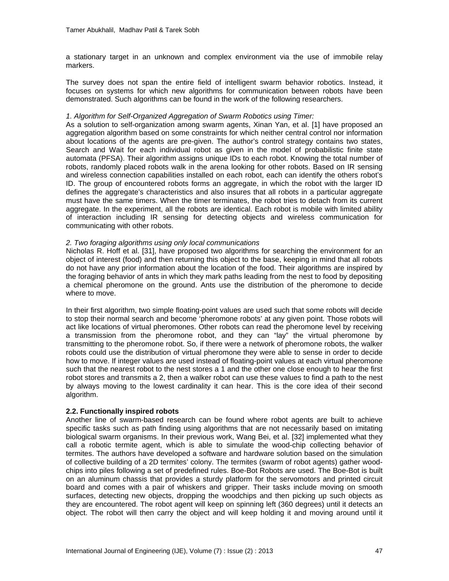a stationary target in an unknown and complex environment via the use of immobile relay markers.

The survey does not span the entire field of intelligent swarm behavior robotics. Instead, it focuses on systems for which new algorithms for communication between robots have been demonstrated. Such algorithms can be found in the work of the following researchers.

#### *1. Algorithm for Self-Organized Aggregation of Swarm Robotics using Timer:*

As a solution to self-organization among swarm agents, Xinan Yan, et al. [\[1\]](#page-12-0) have proposed an aggregation algorithm based on some constraints for which neither central control nor information about locations of the agents are pre-given. The author's control strategy contains two states, Search and Wait for each individual robot as given in the model of probabilistic finite state automata (PFSA). Their algorithm assigns unique IDs to each robot. Knowing the total number of robots, randomly placed robots walk in the arena looking for other robots. Based on IR sensing and wireless connection capabilities installed on each robot, each can identify the others robot's ID. The group of encountered robots forms an aggregate, in which the robot with the larger ID defines the aggregate's characteristics and also insures that all robots in a particular aggregate must have the same timers. When the timer terminates, the robot tries to detach from its current aggregate. In the experiment, all the robots are identical. Each robot is mobile with limited ability of interaction including IR sensing for detecting objects and wireless communication for communicating with other robots.

#### *2. Two foraging algorithms using only local communications*

Nicholas R. Hoff et al. [\[31\]](#page-14-10), have proposed two algorithms for searching the environment for an object of interest (food) and then returning this object to the base, keeping in mind that all robots do not have any prior information about the location of the food. Their algorithms are inspired by the foraging behavior of ants in which they mark paths leading from the nest to food by depositing a chemical pheromone on the ground. Ants use the distribution of the pheromone to decide where to move.

In their first algorithm, two simple floating-point values are used such that some robots will decide to stop their normal search and become 'pheromone robots' at any given point. Those robots will act like locations of virtual pheromones. Other robots can read the pheromone level by receiving a transmission from the pheromone robot, and they can "lay" the virtual pheromone by transmitting to the pheromone robot. So, if there were a network of pheromone robots, the walker robots could use the distribution of virtual pheromone they were able to sense in order to decide how to move. If integer values are used instead of floating-point values at each virtual pheromone such that the nearest robot to the nest stores a 1 and the other one close enough to hear the first robot stores and transmits a 2, then a walker robot can use these values to find a path to the nest by always moving to the lowest cardinality it can hear. This is the core idea of their second algorithm.

#### **2.2. Functionally inspired robots**

Another line of swarm-based research can be found where robot agents are built to achieve specific tasks such as path finding using algorithms that are not necessarily based on imitating biological swarm organisms. In their previous work, Wang Bei, et al. [\[32\]](#page-14-11) implemented what they call a robotic termite agent, which is able to simulate the wood-chip collecting behavior of termites. The authors have developed a software and hardware solution based on the simulation of collective building of a 2D termites' colony. The termites (swarm of robot agents) gather woodchips into piles following a set of predefined rules. Boe-Bot Robots are used. The Boe-Bot is built on an aluminum chassis that provides a sturdy platform for the servomotors and printed circuit board and comes with a pair of whiskers and gripper. Their tasks include moving on smooth surfaces, detecting new objects, dropping the woodchips and then picking up such objects as they are encountered. The robot agent will keep on spinning left (360 degrees) until it detects an object. The robot will then carry the object and will keep holding it and moving around until it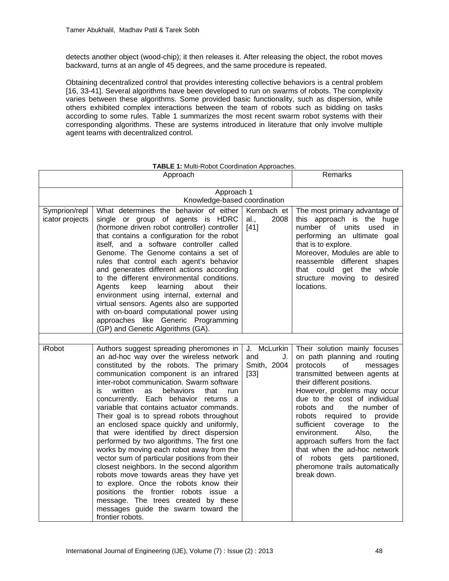detects another object (wood-chip); it then releases it. After releasing the object, the robot moves backward, turns at an angle of 45 degrees, and the same procedure is repeated.

Obtaining decentralized control that provides interesting collective behaviors is a central problem [\[16,](#page-13-8) [33-41\]](#page-14-12). Several algorithms have been developed to run on swarms of robots. The complexity varies between these algorithms. Some provided basic functionality, such as dispersion, while others exhibited complex interactions between the team of robots such as bidding on tasks according to some rules. Table 1 summarizes the most recent swarm robot systems with their corresponding algorithms. These are systems introduced in literature that only involve multiple agent teams with decentralized control.

|                                  | Approach                                                                                                                                                                                                                                                                                                                                                                                                                                                                                                                                                                                                                                                                                                                                                                                                                                                                                                                     |                                                   | Remarks                                                                                                                                                                                                                                                                                                                                                                                                                                                                                                                    |
|----------------------------------|------------------------------------------------------------------------------------------------------------------------------------------------------------------------------------------------------------------------------------------------------------------------------------------------------------------------------------------------------------------------------------------------------------------------------------------------------------------------------------------------------------------------------------------------------------------------------------------------------------------------------------------------------------------------------------------------------------------------------------------------------------------------------------------------------------------------------------------------------------------------------------------------------------------------------|---------------------------------------------------|----------------------------------------------------------------------------------------------------------------------------------------------------------------------------------------------------------------------------------------------------------------------------------------------------------------------------------------------------------------------------------------------------------------------------------------------------------------------------------------------------------------------------|
|                                  | Approach 1<br>Knowledge-based coordination                                                                                                                                                                                                                                                                                                                                                                                                                                                                                                                                                                                                                                                                                                                                                                                                                                                                                   |                                                   |                                                                                                                                                                                                                                                                                                                                                                                                                                                                                                                            |
| Symprion/repl<br>icator projects | What determines the behavior of either<br>single or group of agents is HDRC<br>(hormone driven robot controller) controller<br>that contains a configuration for the robot<br>itself, and a software controller called<br>Genome. The Genome contains a set of<br>rules that control each agent's behavior<br>and generates different actions according<br>to the different environmental conditions.<br>learning<br>Agents<br>keep<br>about<br>their<br>environment using internal, external and<br>virtual sensors. Agents also are supported<br>with on-board computational power using<br>approaches like Generic Programming<br>(GP) and Genetic Algorithms (GA).                                                                                                                                                                                                                                                       | Kernbach et<br>al.,<br>2008<br>$[41]$             | The most primary advantage of<br>this approach is the huge<br>number of units<br>used in<br>performing an ultimate goal<br>that is to explore.<br>Moreover, Modules are able to<br>reassemble different shapes<br>whole<br>that could<br>get<br>the<br>structure moving<br>to desired<br>locations.                                                                                                                                                                                                                        |
| <b>iRobot</b>                    | Authors suggest spreading pheromones in<br>an ad-hoc way over the wireless network<br>constituted by the robots. The primary<br>communication component is an infrared<br>inter-robot communication. Swarm software<br>written<br>is.<br>behaviors<br>that<br>as<br>run<br>concurrently. Each behavior returns a<br>variable that contains actuator commands.<br>Their goal is to spread robots throughout<br>an enclosed space quickly and uniformly,<br>that were identified by direct dispersion<br>performed by two algorithms. The first one<br>works by moving each robot away from the<br>vector sum of particular positions from their<br>closest neighbors. In the second algorithm<br>robots move towards areas they have yet<br>to explore. Once the robots know their<br>positions the frontier robots issue a<br>message. The trees created by these<br>messages guide the swarm toward the<br>frontier robots. | J. McLurkin<br>and<br>J.<br>Smith, 2004<br>$[33]$ | Their solution mainly focuses<br>on path planning and routing<br>protocols<br>of<br>messages<br>transmitted between agents at<br>their different positions.<br>However, problems may occur<br>due to the cost of individual<br>robots and<br>the number of<br>robots<br>required to<br>provide<br>sufficient<br>coverage<br>to<br>the<br>Also,<br>the<br>environment.<br>approach suffers from the fact<br>that when the ad-hoc network<br>of robots gets<br>partitioned,<br>pheromone trails automatically<br>break down. |

**TABLE 1:** Multi-Robot Coordination Approaches.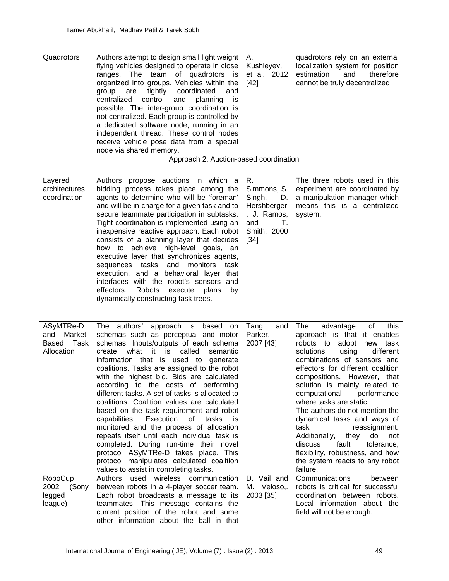| Quadrotors                                                 | Authors attempt to design small light weight<br>flying vehicles designed to operate in close<br>ranges. The team of quadrotors is<br>organized into groups. Vehicles within the<br>tightly<br>coordinated<br>and<br>group<br>are<br>control<br>centralized<br>and<br>planning<br>is<br>possible. The inter-group coordination is<br>not centralized. Each group is controlled by<br>a dedicated software node, running in an<br>independent thread. These control nodes<br>receive vehicle pose data from a special<br>node via shared memory.                                                                                                                                                                                                                                                                               | Α.<br>Kushleyev,<br>et al., 2012<br>$[42]$                                                            | quadrotors rely on an external<br>localization system for position<br>estimation<br>therefore<br>and<br>cannot be truly decentralized                                                                                                                                                                                                                                                                                                                                                                                                                                                 |
|------------------------------------------------------------|------------------------------------------------------------------------------------------------------------------------------------------------------------------------------------------------------------------------------------------------------------------------------------------------------------------------------------------------------------------------------------------------------------------------------------------------------------------------------------------------------------------------------------------------------------------------------------------------------------------------------------------------------------------------------------------------------------------------------------------------------------------------------------------------------------------------------|-------------------------------------------------------------------------------------------------------|---------------------------------------------------------------------------------------------------------------------------------------------------------------------------------------------------------------------------------------------------------------------------------------------------------------------------------------------------------------------------------------------------------------------------------------------------------------------------------------------------------------------------------------------------------------------------------------|
|                                                            | Approach 2: Auction-based coordination                                                                                                                                                                                                                                                                                                                                                                                                                                                                                                                                                                                                                                                                                                                                                                                       |                                                                                                       |                                                                                                                                                                                                                                                                                                                                                                                                                                                                                                                                                                                       |
| Layered<br>architectures<br>coordination                   | Authors propose auctions in which a<br>bidding process takes place among the<br>agents to determine who will be 'foreman'<br>and will be in-charge for a given task and to<br>secure teammate participation in subtasks.<br>Tight coordination is implemented using an<br>inexpensive reactive approach. Each robot<br>consists of a planning layer that decides<br>how to achieve high-level goals, an<br>executive layer that synchronizes agents,<br>sequences tasks and monitors<br>task<br>execution, and a behavioral layer that<br>interfaces with the robot's sensors and<br>effectors.<br>Robots<br>execute<br>plans<br>by<br>dynamically constructing task trees.                                                                                                                                                  | R.<br>Simmons, S.<br>Singh,<br>D.<br>Hershberger<br>, J. Ramos,<br>and<br>Т.<br>Smith, 2000<br>$[34]$ | The three robots used in this<br>experiment are coordinated by<br>a manipulation manager which<br>means this is a centralized<br>system.                                                                                                                                                                                                                                                                                                                                                                                                                                              |
|                                                            |                                                                                                                                                                                                                                                                                                                                                                                                                                                                                                                                                                                                                                                                                                                                                                                                                              |                                                                                                       |                                                                                                                                                                                                                                                                                                                                                                                                                                                                                                                                                                                       |
| ASyMTRe-D<br>Market-<br>and<br>Based<br>Task<br>Allocation | The authors'<br>based on<br>approach is<br>schemas such as perceptual and motor<br>schemas. Inputs/outputs of each schema<br>what<br>called<br>create<br>it it<br>is<br>semantic<br>information that is used to<br>generate<br>coalitions. Tasks are assigned to the robot<br>with the highest bid. Bids are calculated<br>according to the costs of performing<br>different tasks. A set of tasks is allocated to<br>coalitions. Coalition values are calculated<br>based on the task requirement and robot<br>capabilities. Execution of<br>tasks<br>is<br>monitored and the process of allocation<br>repeats itself until each individual task is<br>completed. During run-time their novel<br>protocol ASyMTRe-D takes place. This<br>protocol manipulates calculated coalition<br>values to assist in completing tasks. | Tang<br>and<br>Parker,<br>2007 [43]                                                                   | The<br>advantage<br>of<br>this<br>approach is that it enables<br>robots to adopt<br>new task<br>solutions<br>using<br>different<br>combinations of sensors and<br>effectors for different coalition<br>compositions.<br>However, that<br>solution is mainly related to<br>computational<br>performance<br>where tasks are static.<br>The authors do not mention the<br>dynamical tasks and ways of<br>task<br>reassignment.<br>Additionally,<br>they<br>do<br>not<br>fault<br>discuss<br>tolerance,<br>flexibility, robustness, and how<br>the system reacts to any robot<br>failure. |
| RoboCup<br>2002<br>(Sony<br>legged<br>league)              | used wireless<br>Authors<br>communication<br>between robots in a 4-player soccer team.<br>Each robot broadcasts a message to its<br>teammates. This message contains the<br>current position of the robot and some<br>other information about the ball in that                                                                                                                                                                                                                                                                                                                                                                                                                                                                                                                                                               | D. Vail and<br>M. Veloso,.<br>2003 [35]                                                               | Communications<br>between<br>robots is critical for successful<br>coordination between robots.<br>Local information about the<br>field will not be enough.                                                                                                                                                                                                                                                                                                                                                                                                                            |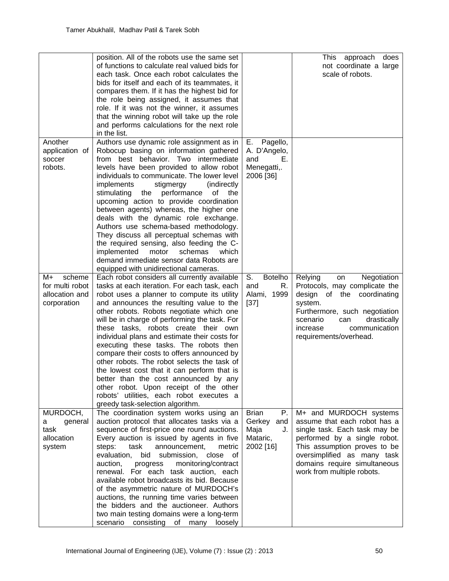|                                                                  | position. All of the robots use the same set<br>of functions to calculate real valued bids for<br>each task. Once each robot calculates the<br>bids for itself and each of its teammates, it<br>compares them. If it has the highest bid for<br>the role being assigned, it assumes that<br>role. If it was not the winner, it assumes<br>that the winning robot will take up the role<br>and performs calculations for the next role<br>in the list.                                                                                                                                                                                                                                                                                  |                                                                            | This approach<br>does<br>not coordinate a large<br>scale of robots.                                                                                                                                                                                  |
|------------------------------------------------------------------|----------------------------------------------------------------------------------------------------------------------------------------------------------------------------------------------------------------------------------------------------------------------------------------------------------------------------------------------------------------------------------------------------------------------------------------------------------------------------------------------------------------------------------------------------------------------------------------------------------------------------------------------------------------------------------------------------------------------------------------|----------------------------------------------------------------------------|------------------------------------------------------------------------------------------------------------------------------------------------------------------------------------------------------------------------------------------------------|
| Another<br>application of<br>soccer<br>robots.                   | Authors use dynamic role assignment as in<br>Robocup basing on information gathered<br>from best behavior. Two intermediate<br>levels have been provided to allow robot<br>individuals to communicate. The lower level<br>implements<br>stigmergy<br>(indirectly<br>performance<br>stimulating<br>the<br>οf<br>the<br>upcoming action to provide coordination<br>between agents) whereas, the higher one<br>deals with the dynamic role exchange.<br>Authors use schema-based methodology.<br>They discuss all perceptual schemas with<br>the required sensing, also feeding the C-<br>implemented<br>motor<br>schemas<br>which<br>demand immediate sensor data Robots are<br>equipped with unidirectional cameras.                    | Е.<br>Pagello,<br>A. D'Angelo,<br>and<br>Е.<br>Menegatti,.<br>2006 [36]    |                                                                                                                                                                                                                                                      |
| scheme<br>M+<br>for multi robot<br>allocation and<br>corporation | Each robot considers all currently available<br>tasks at each iteration. For each task, each<br>robot uses a planner to compute its utility<br>and announces the resulting value to the<br>other robots. Robots negotiate which one<br>will be in charge of performing the task. For<br>these tasks, robots create their own<br>individual plans and estimate their costs for<br>executing these tasks. The robots then<br>compare their costs to offers announced by<br>other robots. The robot selects the task of<br>the lowest cost that it can perform that is<br>better than the cost announced by any<br>other robot. Upon receipt of the other<br>robots' utilities, each robot executes a<br>greedy task-selection algorithm. | S.<br><b>Botelho</b><br>and<br>R.<br>Alami, 1999<br>$[37]$                 | Negotiation<br>Relying<br>on<br>Protocols, may complicate the<br>design of the coordinating<br>system.<br>Furthermore, such negotiation<br>scenario<br>drastically<br>can<br>increase<br>communication<br>requirements/overhead.                     |
| MURDOCH,<br>general<br>a<br>task<br>allocation<br>system         | The coordination system works using an<br>auction protocol that allocates tasks via a<br>sequence of first-price one round auctions.<br>Every auction is issued by agents in five<br>task<br>announcement,<br>steps:<br>metric<br>evaluation,<br>bid submission, close of<br>auction,<br>monitoring/contract<br>progress<br>renewal. For each task auction, each<br>available robot broadcasts its bid. Because<br>of the asymmetric nature of MURDOCH's<br>auctions, the running time varies between<br>the bidders and the auctioneer. Authors<br>two main testing domains were a long-term<br>scenario<br>consisting<br>of<br>loosely<br>many                                                                                       | <b>Brian</b><br>Р.<br>Gerkey<br>and<br>Maja<br>J.<br>Mataric,<br>2002 [16] | M+ and MURDOCH systems<br>assume that each robot has a<br>single task. Each task may be<br>performed by a single robot.<br>This assumption proves to be<br>oversimplified as many task<br>domains require simultaneous<br>work from multiple robots. |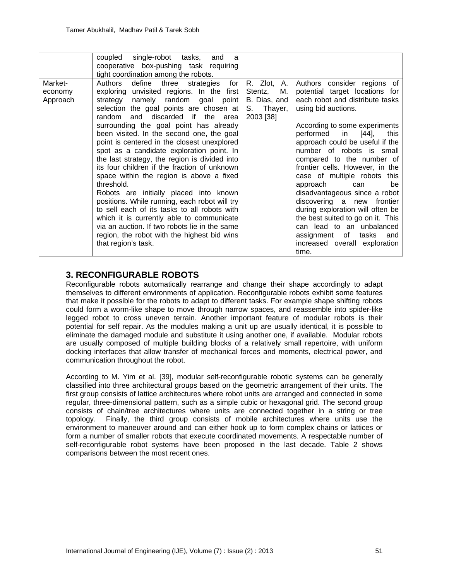|          | single-robot tasks,<br>coupled<br>and<br>a<br>cooperative box-pushing task requiring                                                                                                                                                                                                                                                                                                 |                         |                                                                                                                                                                                                                                                                                                |
|----------|--------------------------------------------------------------------------------------------------------------------------------------------------------------------------------------------------------------------------------------------------------------------------------------------------------------------------------------------------------------------------------------|-------------------------|------------------------------------------------------------------------------------------------------------------------------------------------------------------------------------------------------------------------------------------------------------------------------------------------|
| Market-  | tight coordination among the robots.<br>Authors define three<br>strategies for                                                                                                                                                                                                                                                                                                       | R. Zlot, A.             | Authors consider regions of                                                                                                                                                                                                                                                                    |
| economy  | exploring unvisited regions. In the first                                                                                                                                                                                                                                                                                                                                            | Stentz,<br>M.           | potential target locations for                                                                                                                                                                                                                                                                 |
| Approach | strategy namely random goal point                                                                                                                                                                                                                                                                                                                                                    | B. Dias, and            | each robot and distribute tasks                                                                                                                                                                                                                                                                |
|          | selection the goal points are chosen at<br>random and discarded if the area                                                                                                                                                                                                                                                                                                          | S. Thayer,<br>2003 [38] | using bid auctions.                                                                                                                                                                                                                                                                            |
|          | surrounding the goal point has already<br>been visited. In the second one, the goal<br>point is centered in the closest unexplored<br>spot as a candidate exploration point. In<br>the last strategy, the region is divided into<br>its four children if the fraction of unknown<br>space within the region is above a fixed<br>threshold.<br>Robots are initially placed into known |                         | According to some experiments<br>$[44]$ ,<br>performed in<br>this<br>approach could be useful if the<br>number of robots is small<br>compared to the number of<br>frontier cells. However, in the<br>case of multiple robots<br>this<br>approach<br>be<br>can<br>disadvantageous since a robot |
|          | positions. While running, each robot will try<br>to sell each of its tasks to all robots with<br>which it is currently able to communicate                                                                                                                                                                                                                                           |                         | discovering a new frontier<br>during exploration will often be<br>the best suited to go on it. This                                                                                                                                                                                            |
|          | via an auction. If two robots lie in the same<br>region, the robot with the highest bid wins<br>that region's task.                                                                                                                                                                                                                                                                  |                         | can lead to an unbalanced<br>assignment of<br>tasks<br>and<br>increased overall exploration<br>time.                                                                                                                                                                                           |

# **3. RECONFIGURABLE ROBOTS**

Reconfigurable robots automatically rearrange and change their shape accordingly to adapt themselves to different environments of application. Reconfigurable robots exhibit some features that make it possible for the robots to adapt to different tasks. For example shape shifting robots could form a worm-like shape to move through narrow spaces, and reassemble into spider-like legged robot to cross uneven terrain. Another important feature of modular robots is their potential for self repair. As the modules making a unit up are usually identical, it is possible to eliminate the damaged module and substitute it using another one, if available. Modular robots are usually composed of multiple building blocks of a relatively small repertoire, with uniform docking interfaces that allow transfer of mechanical forces and moments, electrical power, and communication throughout the robot.

According to M. Yim et al. [\[39\]](#page-15-6), modular self-reconfigurable robotic systems can be generally classified into three architectural groups based on the geometric arrangement of their units. The first group consists of lattice architectures where robot units are arranged and connected in some regular, three-dimensional pattern, such as a simple cubic or hexagonal grid. The second group consists of chain/tree architectures where units are connected together in a string or tree topology. Finally, the third group consists of mobile architectures where units use the environment to maneuver around and can either hook up to form complex chains or lattices or form a number of smaller robots that execute coordinated movements. A respectable number of self-reconfigurable robot systems have been proposed in the last decade. Table 2 shows comparisons between the most recent ones.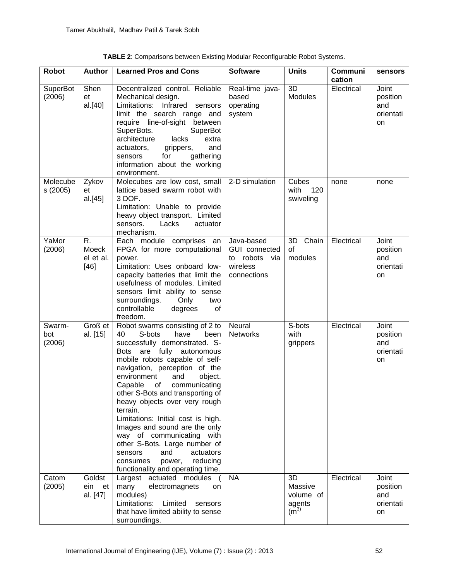| <b>Robot</b>              | <b>Author</b>                      | <b>Learned Pros and Cons</b>                                                                                                                                                                                                                                                                                                                                                                                                                                                                                                                                                                       | <b>Software</b>                                                         | <b>Units</b>                                                      | <b>Communi</b><br>cation | sensors                                            |
|---------------------------|------------------------------------|----------------------------------------------------------------------------------------------------------------------------------------------------------------------------------------------------------------------------------------------------------------------------------------------------------------------------------------------------------------------------------------------------------------------------------------------------------------------------------------------------------------------------------------------------------------------------------------------------|-------------------------------------------------------------------------|-------------------------------------------------------------------|--------------------------|----------------------------------------------------|
| <b>SuperBot</b><br>(2006) | Shen<br>et<br>al.[40]              | Decentralized control. Reliable<br>Mechanical design.<br>Infrared<br>Limitations:<br>sensors<br>limit the search range and<br>require line-of-sight between<br>SuperBots.<br>SuperBot<br>architecture<br>lacks<br>extra<br>and<br>actuators,<br>grippers,<br>gathering<br>for<br>sensors<br>information about the working<br>environment.                                                                                                                                                                                                                                                          | Real-time java-<br>based<br>operating<br>system                         | 3D<br><b>Modules</b>                                              | Electrical               | Joint<br>position<br>and<br>orientati<br><b>on</b> |
| Molecube<br>s(2005)       | Zykov<br>et<br>al.[45]             | Molecubes are low cost, small<br>lattice based swarm robot with<br>3 DOF.<br>Limitation: Unable to provide<br>heavy object transport. Limited<br>sensors.<br>Lacks<br>actuator<br>mechanism.                                                                                                                                                                                                                                                                                                                                                                                                       | 2-D simulation                                                          | Cubes<br>120<br>with<br>swiveling                                 | none                     | none                                               |
| YaMor<br>(2006)           | R.<br>Moeck<br>el et al.<br>$[46]$ | Each module comprises an<br>FPGA for more computational<br>power.<br>Limitation: Uses onboard low-<br>capacity batteries that limit the<br>usefulness of modules. Limited<br>sensors limit ability to sense<br>surroundings.<br>Only<br>two<br>controllable<br>degrees<br>0f<br>freedom.                                                                                                                                                                                                                                                                                                           | Java-based<br>GUI connected<br>to robots via<br>wireless<br>connections | 3D Chain<br>οf<br>modules                                         | Electrical               | Joint<br>position<br>and<br>orientati<br>on        |
| Swarm-<br>bot<br>(2006)   | Groß et<br>al. [15]                | Robot swarms consisting of 2 to<br>40<br>S-bots<br>have<br>been<br>successfully demonstrated. S-<br>are fully autonomous<br>Bots<br>mobile robots capable of self-<br>navigation, perception of the<br>environment<br>and<br>object.<br>Capable<br>of<br>communicating<br>other S-Bots and transporting of<br>heavy objects over very rough<br>terrain.<br>Limitations: Initial cost is high.<br>Images and sound are the only<br>way of communicating with<br>other S-Bots. Large number of<br>and<br>sensors<br>actuators<br>power,<br>reducing<br>consumes<br>functionality and operating time. | Neural<br><b>Networks</b>                                               | S-bots<br>with<br>grippers                                        | Electrical               | Joint<br>position<br>and<br>orientati<br>on        |
| Catom<br>(2005)           | Goldst<br>ein et<br>al. [47]       | Largest actuated modules<br>many<br>electromagnets<br>on<br>modules)<br>Limitations:<br>Limited<br>sensors<br>that have limited ability to sense<br>surroundings.                                                                                                                                                                                                                                                                                                                                                                                                                                  | <b>NA</b>                                                               | 3D<br>Massive<br>volume of<br>agents<br>( <b>m</b> <sup>3</sup> ) | Electrical               | Joint<br>position<br>and<br>orientati<br>on        |

| TABLE 2: Comparisons between Existing Modular Reconfigurable Robot Systems. |  |
|-----------------------------------------------------------------------------|--|
|-----------------------------------------------------------------------------|--|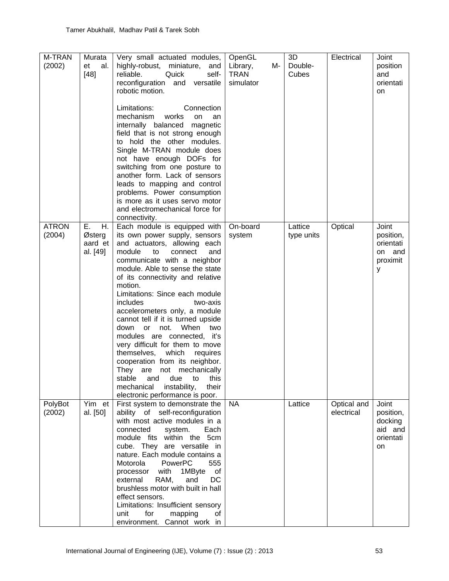| M-TRAN<br>(2002)       | Murata<br>et<br>al.<br>$[48]$             | Very small actuated modules,<br>highly-robust, miniature,<br>and<br>reliable.<br>Quick<br>self-<br>reconfiguration<br>and versatile<br>robotic motion.<br>Limitations:<br>Connection                                                                                                                                                                                                                                                                                                                                                                                                                                                                                                            | OpenGL<br>Library,<br>M-<br><b>TRAN</b><br>simulator | 3D<br>Double-<br>Cubes | Electrical                | Joint<br>position<br>and<br>orientati<br><b>on</b>          |
|------------------------|-------------------------------------------|-------------------------------------------------------------------------------------------------------------------------------------------------------------------------------------------------------------------------------------------------------------------------------------------------------------------------------------------------------------------------------------------------------------------------------------------------------------------------------------------------------------------------------------------------------------------------------------------------------------------------------------------------------------------------------------------------|------------------------------------------------------|------------------------|---------------------------|-------------------------------------------------------------|
|                        |                                           | mechanism<br>works<br>on<br>an<br>internally balanced magnetic<br>field that is not strong enough<br>to hold the other modules.<br>Single M-TRAN module does<br>not have enough DOFs for<br>switching from one posture to<br>another form. Lack of sensors<br>leads to mapping and control<br>problems. Power consumption<br>is more as it uses servo motor<br>and electromechanical force for<br>connectivity.                                                                                                                                                                                                                                                                                 |                                                      |                        |                           |                                                             |
| <b>ATRON</b><br>(2004) | Ε.<br>H.<br>Østerg<br>aard et<br>al. [49] | Each module is equipped with<br>its own power supply, sensors<br>and actuators, allowing each<br>module<br>to<br>connect<br>and<br>communicate with a neighbor<br>module. Able to sense the state<br>of its connectivity and relative<br>motion.<br>Limitations: Since each module<br>includes<br>two-axis<br>accelerometers only, a module<br>cannot tell if it is turned upside<br>or not.<br>When<br>down<br>two<br>modules are connected, it's<br>very difficult for them to move<br>themselves, which<br>requires<br>cooperation from its neighbor.<br>They are not mechanically<br>stable<br>and<br>due to this<br>mechanical<br>instability,<br>their<br>electronic performance is poor. | On-board<br>system                                   | Lattice<br>type units  | Optical                   | Joint<br>position,<br>orientati<br>on and<br>proximit<br>У  |
| PolyBot<br>(2002)      | Yim et<br>al. [50]                        | First system to demonstrate the<br>ability of self-reconfiguration<br>with most active modules in a<br>connected<br>system.<br>Each<br>module fits within the 5cm<br>cube. They are versatile in<br>nature. Each module contains a<br>Motorola<br>PowerPC<br>555<br>with<br>1MByte<br>of<br>processor<br>RAM,<br>and<br>DC<br>external<br>brushless motor with built in hall<br>effect sensors.<br>Limitations: Insufficient sensory<br>unit<br>for<br>mapping<br>οf<br>environment. Cannot work in                                                                                                                                                                                             | <b>NA</b>                                            | Lattice                | Optical and<br>electrical | Joint<br>position,<br>docking<br>aid and<br>orientati<br>on |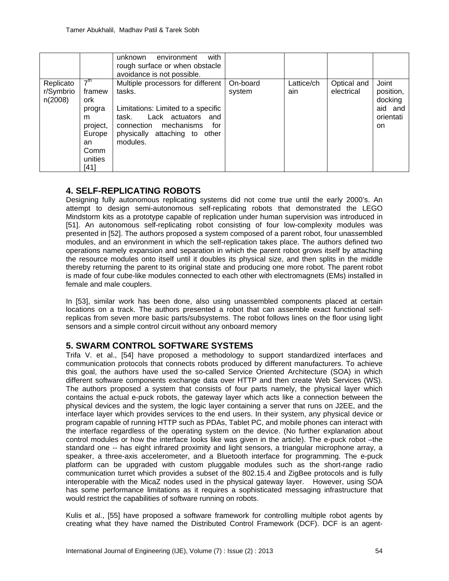|                                   |                                                                                                         | with<br>unknown<br>environment<br>rough surface or when obstacle<br>avoidance is not possible.                                                                                                |                    |                   |                           |                                                              |
|-----------------------------------|---------------------------------------------------------------------------------------------------------|-----------------------------------------------------------------------------------------------------------------------------------------------------------------------------------------------|--------------------|-------------------|---------------------------|--------------------------------------------------------------|
| Replicato<br>r/Symbrio<br>n(2008) | 7 <sup>th</sup><br>framew<br>ork.<br>progra<br>m<br>project,<br>Europe<br>an<br>Comm<br>unities<br>[41] | Multiple processors for different<br>tasks.<br>Limitations: Limited to a specific<br>Lack actuators and<br>task.<br>connection mechanisms<br>for<br>physically attaching to other<br>modules. | On-board<br>system | Lattice/ch<br>ain | Optical and<br>electrical | Joint<br>position,<br>docking<br>aid and<br>orientati<br>on. |

# **4. SELF-REPLICATING ROBOTS**

Designing fully autonomous replicating systems did not come true until the early 2000's. An attempt to design semi-autonomous self-replicating robots that demonstrated the LEGO Mindstorm kits as a prototype capable of replication under human supervision was introduced in [\[51\]](#page-15-14). An autonomous self-replicating robot consisting of four low-complexity modules was presented in [\[52\]](#page-15-15). The authors proposed a system composed of a parent robot, four unassembled modules, and an environment in which the self-replication takes place. The authors defined two operations namely expansion and separation in which the parent robot grows itself by attaching the resource modules onto itself until it doubles its physical size, and then splits in the middle thereby returning the parent to its original state and producing one more robot. The parent robot is made of four cube-like modules connected to each other with electromagnets (EMs) installed in female and male couplers.

In [\[53\]](#page-15-16), similar work has been done, also using unassembled components placed at certain locations on a track. The authors presented a robot that can assemble exact functional selfreplicas from seven more basic parts/subsystems. The robot follows lines on the floor using light sensors and a simple control circuit without any onboard memory

# **5. SWARM CONTROL SOFTWARE SYSTEMS**

Trifa V. et al., [\[54\]](#page-16-0) have proposed a methodology to support standardized interfaces and communication protocols that connects robots produced by different manufacturers. To achieve this goal, the authors have used the so-called Service Oriented Architecture (SOA) in which different software components exchange data over HTTP and then create Web Services (WS). The authors proposed a system that consists of four parts namely, the physical layer which contains the actual e-puck robots, the gateway layer which acts like a connection between the physical devices and the system, the logic layer containing a server that runs on J2EE, and the interface layer which provides services to the end users. In their system, any physical device or program capable of running HTTP such as PDAs, Tablet PC, and mobile phones can interact with the interface regardless of the operating system on the device. (No further explanation about control modules or how the interface looks like was given in the article). The e-puck robot –the standard one -- has eight infrared proximity and light sensors, a triangular microphone array, a speaker, a three-axis accelerometer, and a Bluetooth interface for programming. The e-puck platform can be upgraded with custom pluggable modules such as the short-range radio communication turret which provides a subset of the 802.15.4 and ZigBee protocols and is fully interoperable with the MicaZ nodes used in the physical gateway layer. However, using SOA has some performance limitations as it requires a sophisticated messaging infrastructure that would restrict the capabilities of software running on robots.

Kulis et al., [\[55\]](#page-16-1) have proposed a software framework for controlling multiple robot agents by creating what they have named the Distributed Control Framework (DCF). DCF is an agent-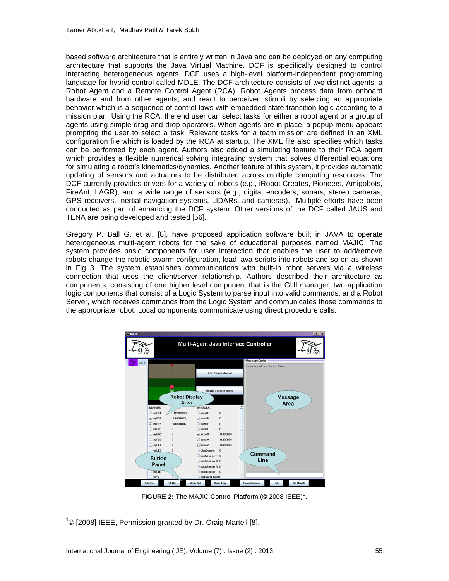based software architecture that is entirely written in Java and can be deployed on any computing architecture that supports the Java Virtual Machine. DCF is specifically designed to control interacting heterogeneous agents. DCF uses a high-level platform-independent programming language for hybrid control called MDLE. The DCF architecture consists of two distinct agents: a Robot Agent and a Remote Control Agent (RCA). Robot Agents process data from onboard hardware and from other agents, and react to perceived stimuli by selecting an appropriate behavior which is a sequence of control laws with embedded state transition logic according to a mission plan. Using the RCA, the end user can select tasks for either a robot agent or a group of agents using simple drag and drop operators. When agents are in place, a popup menu appears prompting the user to select a task. Relevant tasks for a team mission are defined in an XML configuration file which is loaded by the RCA at startup. The XML file also specifies which tasks can be performed by each agent. Authors also added a simulating feature to their RCA agent which provides a flexible numerical solving integrating system that solves differential equations for simulating a robot's kinematics/dynamics. Another feature of this system, it provides automatic updating of sensors and actuators to be distributed across multiple computing resources. The DCF currently provides drivers for a variety of robots (e.g., iRobot Creates, Pioneers, Amigobots, FireAnt, LAGR), and a wide range of sensors (e.g., digital encoders, sonars, stereo cameras, GPS receivers, inertial navigation systems, LIDARs, and cameras). Multiple efforts have been conducted as part of enhancing the DCF system. Other versions of the DCF called JAUS and TENA are being developed and tested [\[56\]](#page-16-2).

Gregory P. Ball G. et al. [\[8\]](#page-13-0), have proposed application software built in JAVA to operate heterogeneous multi-agent robots for the sake of educational purposes named MAJIC. The system provides basic components for user interaction that enables the user to add/remove robots change the robotic swarm configuration, load java scripts into robots and so on as shown in Fig 3. The system establishes communications with built-in robot servers via a wireless connection that uses the client/server relationship. Authors described their architecture as components, consisting of one higher level component that is the GUI manager, two application logic components that consist of a Logic System to parse input into valid commands, and a Robot Server, which receives commands from the Logic System and communicates those commands to the appropriate robot. Local components communicate using direct procedure calls.



**FIGURE 2:** The MAJIC Control Platform  $(\circledcirc 2008$  IEEE)<sup>1</sup>.

<sup>1</sup>© [2008] IEEE, Permission granted by Dr. Craig Martell [8].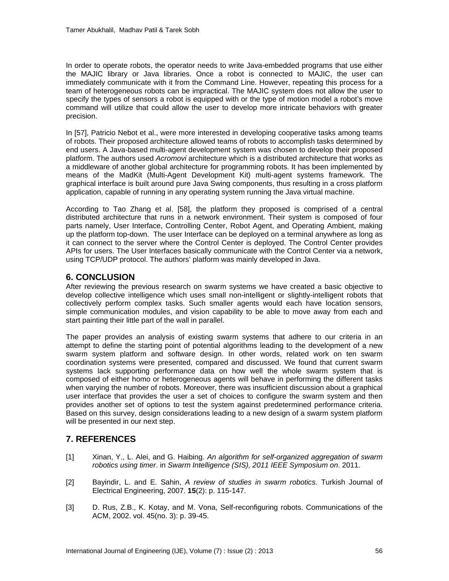In order to operate robots, the operator needs to write Java-embedded programs that use either the MAJIC library or Java libraries. Once a robot is connected to MAJIC, the user can immediately communicate with it from the Command Line. However, repeating this process for a team of heterogeneous robots can be impractical. The MAJIC system does not allow the user to specify the types of sensors a robot is equipped with or the type of motion model a robot's move command will utilize that could allow the user to develop more intricate behaviors with greater precision.

In [\[57\]](#page-16-3), Patricio Nebot et al., were more interested in developing cooperative tasks among teams of robots. Their proposed architecture allowed teams of robots to accomplish tasks determined by end users. A Java-based multi-agent development system was chosen to develop their proposed platform. The authors used *Acromovi* architecture which is a distributed architecture that works as a middleware of another global architecture for programming robots. It has been implemented by means of the MadKit (Multi-Agent Development Kit) multi-agent systems framework. The graphical interface is built around pure Java Swing components, thus resulting in a cross platform application, capable of running in any operating system running the Java virtual machine.

According to Tao Zhang et al. [\[58\]](#page-16-4), the platform they proposed is comprised of a central distributed architecture that runs in a network environment. Their system is composed of four parts namely, User Interface, Controlling Center, Robot Agent, and Operating Ambient, making up the platform top-down. The user Interface can be deployed on a terminal anywhere as long as it can connect to the server where the Control Center is deployed. The Control Center provides APIs for users. The User Interfaces basically communicate with the Control Center via a network, using TCP/UDP protocol. The authors' platform was mainly developed in Java.

### **6. CONCLUSION**

After reviewing the previous research on swarm systems we have created a basic objective to develop collective intelligence which uses small non-intelligent or slightly-intelligent robots that collectively perform complex tasks. Such smaller agents would each have location sensors, simple communication modules, and vision capability to be able to move away from each and start painting their little part of the wall in parallel.

The paper provides an analysis of existing swarm systems that adhere to our criteria in an attempt to define the starting point of potential algorithms leading to the development of a new swarm system platform and software design. In other words, related work on ten swarm coordination systems were presented, compared and discussed. We found that current swarm systems lack supporting performance data on how well the whole swarm system that is composed of either homo or heterogeneous agents will behave in performing the different tasks when varying the number of robots. Moreover, there was insufficient discussion about a graphical user interface that provides the user a set of choices to configure the swarm system and then provides another set of options to test the system against predetermined performance criteria. Based on this survey, design considerations leading to a new design of a swarm system platform will be presented in our next step.

## **7. REFERENCES**

- <span id="page-12-1"></span><span id="page-12-0"></span>[1] Xinan, Y., L. Alei, and G. Haibing. *An algorithm for self-organized aggregation of swarm robotics using timer*. in *Swarm Intelligence (SIS), 2011 IEEE Symposium on*. 2011.
- <span id="page-12-2"></span>[2] Bayindir, L. and E. Sahin, *A review of studies in swarm robotics.* Turkish Journal of Electrical Engineering, 2007. **15**(2): p. 115-147.
- [3] D. Rus, Z.B., K. Kotay, and M. Vona, Self-reconfiguring robots. Communications of the ACM, 2002. vol. 45(no. 3): p. 39-45.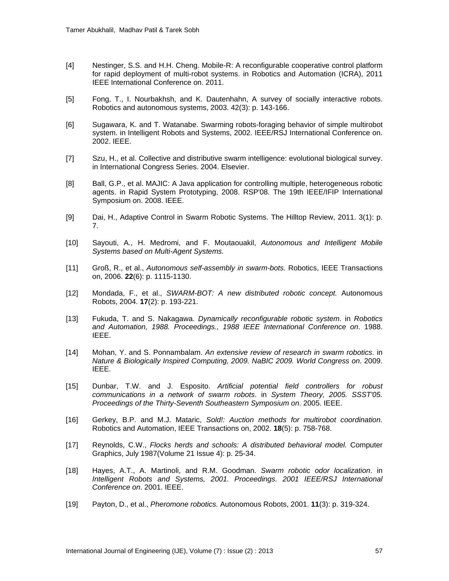- <span id="page-13-12"></span>[4] Nestinger, S.S. and H.H. Cheng. Mobile-R: A reconfigurable cooperative control platform for rapid deployment of multi-robot systems. in Robotics and Automation (ICRA), 2011 IEEE International Conference on. 2011.
- [5] Fong, T., I. Nourbakhsh, and K. Dautenhahn, A survey of socially interactive robots. Robotics and autonomous systems, 2003. 42(3): p. 143-166.
- <span id="page-13-10"></span>[6] Sugawara, K. and T. Watanabe. Swarming robots-foraging behavior of simple multirobot system. in Intelligent Robots and Systems, 2002. IEEE/RSJ International Conference on. 2002. IEEE.
- <span id="page-13-0"></span>[7] Szu, H., et al. Collective and distributive swarm intelligence: evolutional biological survey. in International Congress Series. 2004. Elsevier.
- <span id="page-13-1"></span>[8] Ball, G.P., et al. MAJIC: A Java application for controlling multiple, heterogeneous robotic agents. in Rapid System Prototyping, 2008. RSP'08. The 19th IEEE/IFIP International Symposium on. 2008. IEEE.
- <span id="page-13-2"></span>[9] Dai, H., Adaptive Control in Swarm Robotic Systems. The Hilltop Review, 2011. 3(1): p. 7.
- <span id="page-13-3"></span>[10] Sayouti, A., H. Medromi, and F. Moutaouakil, *Autonomous and Intelligent Mobile Systems based on Multi-Agent Systems.*
- <span id="page-13-4"></span>[11] Groß, R., et al., *Autonomous self-assembly in swarm-bots.* Robotics, IEEE Transactions on, 2006. **22**(6): p. 1115-1130.
- <span id="page-13-5"></span>[12] Mondada, F., et al., *SWARM-BOT: A new distributed robotic concept.* Autonomous Robots, 2004. **17**(2): p. 193-221.
- <span id="page-13-6"></span>[13] Fukuda, T. and S. Nakagawa. *Dynamically reconfigurable robotic system*. in *Robotics and Automation, 1988. Proceedings., 1988 IEEE International Conference on*. 1988. IEEE.
- <span id="page-13-7"></span>[14] Mohan, Y. and S. Ponnambalam. *An extensive review of research in swarm robotics*. in *Nature & Biologically Inspired Computing, 2009. NaBIC 2009. World Congress on*. 2009. IEEE.
- [15] Dunbar, T.W. and J. Esposito. *Artificial potential field controllers for robust communications in a network of swarm robots*. in *System Theory, 2005. SSST'05. Proceedings of the Thirty-Seventh Southeastern Symposium on*. 2005. IEEE.
- <span id="page-13-9"></span><span id="page-13-8"></span>[16] Gerkey, B.P. and M.J. Mataric, *Sold!: Auction methods for multirobot coordination.* Robotics and Automation, IEEE Transactions on, 2002. **18**(5): p. 758-768.
- <span id="page-13-11"></span>[17] Reynolds, C.W., *Flocks herds and schools: A distributed behavioral model.* Computer Graphics, July 1987(Volume 21 Issue 4): p. 25-34.
- <span id="page-13-13"></span>[18] Hayes, A.T., A. Martinoli, and R.M. Goodman. *Swarm robotic odor localization*. in *Intelligent Robots and Systems, 2001. Proceedings. 2001 IEEE/RSJ International Conference on*. 2001. IEEE.
- <span id="page-13-14"></span>[19] Payton, D., et al., *Pheromone robotics.* Autonomous Robots, 2001. **11**(3): p. 319-324.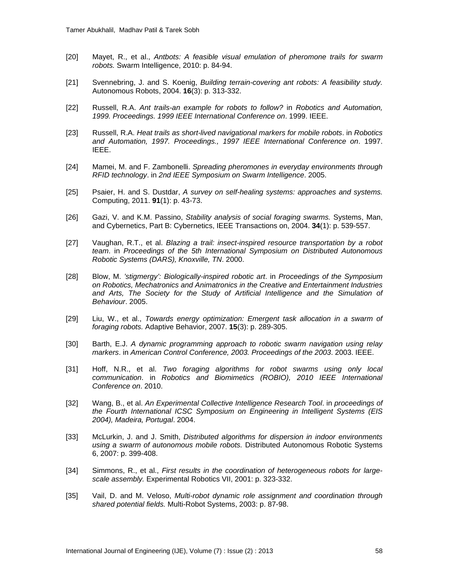- <span id="page-14-2"></span>[20] Mayet, R., et al., *Antbots: A feasible visual emulation of pheromone trails for swarm robots.* Swarm Intelligence, 2010: p. 84-94.
- <span id="page-14-3"></span>[21] Svennebring, J. and S. Koenig, *Building terrain-covering ant robots: A feasibility study.* Autonomous Robots, 2004. **16**(3): p. 313-332.
- <span id="page-14-5"></span>[22] Russell, R.A. *Ant trails-an example for robots to follow?* in *Robotics and Automation, 1999. Proceedings. 1999 IEEE International Conference on*. 1999. IEEE.
- <span id="page-14-6"></span>[23] Russell, R.A. *Heat trails as short-lived navigational markers for mobile robots*. in *Robotics and Automation, 1997. Proceedings., 1997 IEEE International Conference on*. 1997. IEEE.
- <span id="page-14-0"></span>[24] Mamei, M. and F. Zambonelli. *Spreading pheromones in everyday environments through RFID technology*. in *2nd IEEE Symposium on Swarm Intelligence*. 2005.
- <span id="page-14-1"></span>[25] Psaier, H. and S. Dustdar, *A survey on self-healing systems: approaches and systems.* Computing, 2011. **91**(1): p. 43-73.
- <span id="page-14-4"></span>[26] Gazi, V. and K.M. Passino, *Stability analysis of social foraging swarms.* Systems, Man, and Cybernetics, Part B: Cybernetics, IEEE Transactions on, 2004. **34**(1): p. 539-557.
- <span id="page-14-7"></span>[27] Vaughan, R.T., et al. *Blazing a trail: insect-inspired resource transportation by a robot team*. in *Proceedings of the 5th International Symposium on Distributed Autonomous Robotic Systems (DARS), Knoxville, TN*. 2000.
- [28] Blow, M. *'stigmergy': Biologically-inspired robotic art*. in *Proceedings of the Symposium on Robotics, Mechatronics and Animatronics in the Creative and Entertainment Industries*  and Arts, The Society for the Study of Artificial Intelligence and the Simulation of *Behaviour*. 2005.
- <span id="page-14-9"></span><span id="page-14-8"></span>[29] Liu, W., et al., *Towards energy optimization: Emergent task allocation in a swarm of foraging robots.* Adaptive Behavior, 2007. **15**(3): p. 289-305.
- <span id="page-14-10"></span>[30] Barth, E.J. *A dynamic programming approach to robotic swarm navigation using relay markers*. in *American Control Conference, 2003. Proceedings of the 2003*. 2003. IEEE.
- <span id="page-14-11"></span>[31] Hoff, N.R., et al. *Two foraging algorithms for robot swarms using only local communication*. in *Robotics and Biomimetics (ROBIO), 2010 IEEE International Conference on*. 2010.
- <span id="page-14-12"></span>[32] Wang, B., et al. *An Experimental Collective Intelligence Research Tool*. in *proceedings of the Fourth International ICSC Symposium on Engineering in Intelligent Systems (EIS 2004), Madeira, Portugal*. 2004.
- <span id="page-14-13"></span>[33] McLurkin, J. and J. Smith, *Distributed algorithms for dispersion in indoor environments using a swarm of autonomous mobile robots.* Distributed Autonomous Robotic Systems 6, 2007: p. 399-408.
- <span id="page-14-14"></span>[34] Simmons, R., et al., *First results in the coordination of heterogeneous robots for largescale assembly.* Experimental Robotics VII, 2001: p. 323-332.
- <span id="page-14-15"></span>[35] Vail, D. and M. Veloso, *Multi-robot dynamic role assignment and coordination through shared potential fields.* Multi-Robot Systems, 2003: p. 87-98.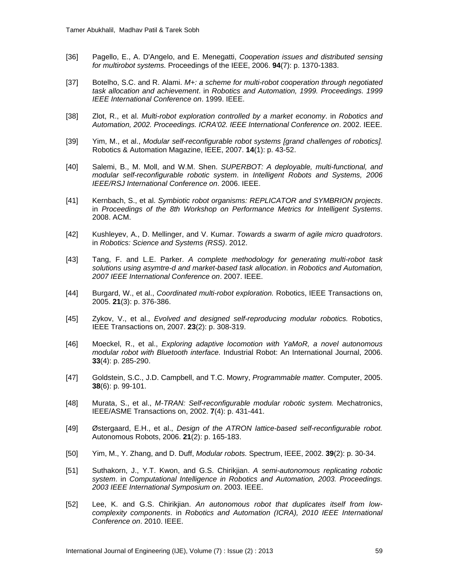- <span id="page-15-3"></span>[36] Pagello, E., A. D'Angelo, and E. Menegatti, *Cooperation issues and distributed sensing for multirobot systems.* Proceedings of the IEEE, 2006. **94**(7): p. 1370-1383.
- <span id="page-15-4"></span>[37] Botelho, S.C. and R. Alami. *M+: a scheme for multi-robot cooperation through negotiated task allocation and achievement*. in *Robotics and Automation, 1999. Proceedings. 1999 IEEE International Conference on*. 1999. IEEE.
- <span id="page-15-6"></span>[38] Zlot, R., et al. *Multi-robot exploration controlled by a market economy*. in *Robotics and Automation, 2002. Proceedings. ICRA'02. IEEE International Conference on*. 2002. IEEE.
- <span id="page-15-7"></span>[39] Yim, M., et al., *Modular self-reconfigurable robot systems [grand challenges of robotics].* Robotics & Automation Magazine, IEEE, 2007. **14**(1): p. 43-52.
- <span id="page-15-0"></span>[40] Salemi, B., M. Moll, and W.M. Shen. *SUPERBOT: A deployable, multi-functional, and modular self-reconfigurable robotic system*. in *Intelligent Robots and Systems, 2006 IEEE/RSJ International Conference on*. 2006. IEEE.
- <span id="page-15-1"></span>[41] Kernbach, S., et al. *Symbiotic robot organisms: REPLICATOR and SYMBRION projects*. in *Proceedings of the 8th Workshop on Performance Metrics for Intelligent Systems*. 2008. ACM.
- <span id="page-15-2"></span>[42] Kushleyev, A., D. Mellinger, and V. Kumar. *Towards a swarm of agile micro quadrotors*. in *Robotics: Science and Systems (RSS)*. 2012.
- <span id="page-15-5"></span>[43] Tang, F. and L.E. Parker. *A complete methodology for generating multi-robot task solutions using asymtre-d and market-based task allocation*. in *Robotics and Automation, 2007 IEEE International Conference on*. 2007. IEEE.
- <span id="page-15-8"></span>[44] Burgard, W., et al., *Coordinated multi-robot exploration.* Robotics, IEEE Transactions on, 2005. **21**(3): p. 376-386.
- <span id="page-15-9"></span>[45] Zykov, V., et al., *Evolved and designed self-reproducing modular robotics.* Robotics, IEEE Transactions on, 2007. **23**(2): p. 308-319.
- <span id="page-15-10"></span>[46] Moeckel, R., et al., *Exploring adaptive locomotion with YaMoR, a novel autonomous modular robot with Bluetooth interface.* Industrial Robot: An International Journal, 2006. **33**(4): p. 285-290.
- <span id="page-15-11"></span>[47] Goldstein, S.C., J.D. Campbell, and T.C. Mowry, *Programmable matter.* Computer, 2005. **38**(6): p. 99-101.
- <span id="page-15-12"></span>[48] Murata, S., et al., *M-TRAN: Self-reconfigurable modular robotic system.* Mechatronics, IEEE/ASME Transactions on, 2002. **7**(4): p. 431-441.
- <span id="page-15-13"></span>[49] Østergaard, E.H., et al., *Design of the ATRON lattice-based self-reconfigurable robot.* Autonomous Robots, 2006. **21**(2): p. 165-183.
- <span id="page-15-14"></span>[50] Yim, M., Y. Zhang, and D. Duff, *Modular robots.* Spectrum, IEEE, 2002. **39**(2): p. 30-34.
- [51] Suthakorn, J., Y.T. Kwon, and G.S. Chirikjian. *A semi-autonomous replicating robotic system*. in *Computational Intelligence in Robotics and Automation, 2003. Proceedings. 2003 IEEE International Symposium on*. 2003. IEEE.
- <span id="page-15-16"></span><span id="page-15-15"></span>[52] Lee, K. and G.S. Chirikjian. *An autonomous robot that duplicates itself from lowcomplexity components*. in *Robotics and Automation (ICRA), 2010 IEEE International Conference on*. 2010. IEEE.